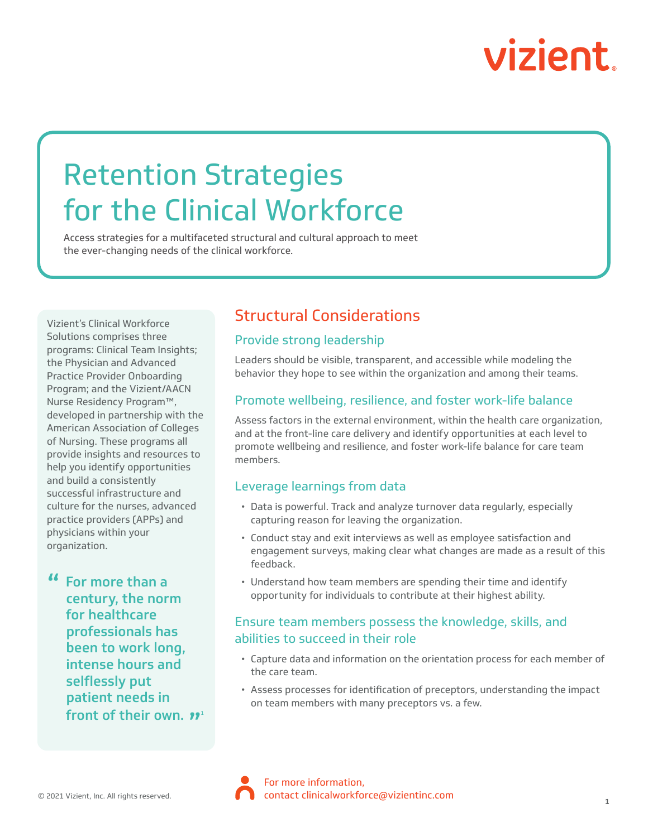# vizient.

## Retention Strategies for the Clinical Workforce

Access strategies for a multifaceted structural and cultural approach to meet the ever-changing needs of the clinical workforce.

Vizient's Clinical Workforce Solutions comprises three programs: Clinical Team Insights; the Physician and Advanced Practice Provider Onboarding Program; and the Vizient/AACN Nurse Residency Program™, developed in partnership with the American Association of Colleges of Nursing. These programs all provide insights and resources to help you identify opportunities and build a consistently successful infrastructure and culture for the nurses, advanced practice providers (APPs) and physicians within your organization.

**"** For more than a century, the norm for healthcare professionals has been to work long, intense hours and selflessly put patient needs in front of their own. **"** 

### Structural Considerations

#### Provide strong leadership

Leaders should be visible, transparent, and accessible while modeling the behavior they hope to see within the organization and among their teams.

#### Promote wellbeing, resilience, and foster work-life balance

Assess factors in the external environment, within the health care organization, and at the front-line care delivery and identify opportunities at each level to promote wellbeing and resilience, and foster work-life balance for care team members.

#### Leverage learnings from data

- Data is powerful. Track and analyze turnover data regularly, especially capturing reason for leaving the organization.
- Conduct stay and exit interviews as well as employee satisfaction and engagement surveys, making clear what changes are made as a result of this feedback.
- Understand how team members are spending their time and identify opportunity for individuals to contribute at their highest ability.

#### Ensure team members possess the knowledge, skills, and abilities to succeed in their role

- Capture data and information on the orientation process for each member of the care team.
- Assess processes for identification of preceptors, understanding the impact on team members with many preceptors vs. a few.